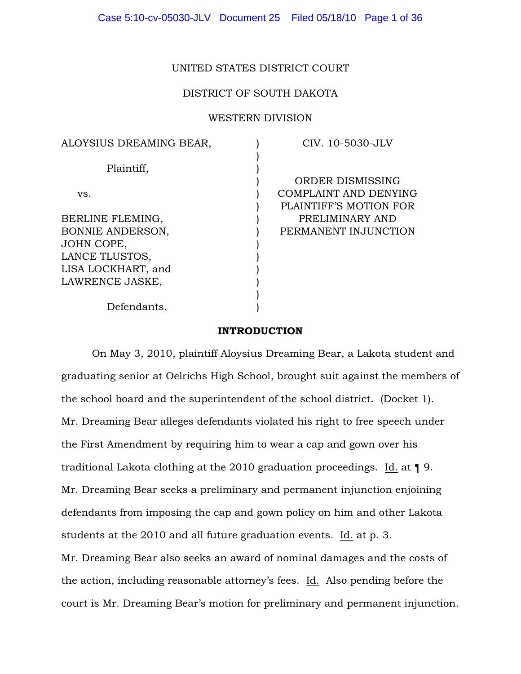# UNITED STATES DISTRICT COURT

# DISTRICT OF SOUTH DAKOTA

# WESTERN DIVISION

| ALOYSIUS DREAMING BEAR, | CIV. 10-5030-JLV       |
|-------------------------|------------------------|
|                         |                        |
| Plaintiff,              |                        |
|                         | ORDER DISMISSING       |
| VS.                     | COMPLAINT AND DENYING  |
|                         | PLAINTIFF'S MOTION FOR |
| BERLINE FLEMING,        | PRELIMINARY AND        |
| <b>BONNIE ANDERSON,</b> | PERMANENT INJUNCTION   |
| JOHN COPE,              |                        |
| LANCE TLUSTOS,          |                        |
| LISA LOCKHART, and      |                        |
| LAWRENCE JASKE,         |                        |
|                         |                        |
| Defendants.             |                        |
|                         |                        |

#### INTRODUCTION

On May 3, 2010, plaintiff Aloysius Dreaming Bear, a Lakota student and graduating senior at Oelrichs High School, brought suit against the members of the school board and the superintendent of the school district. (Docket 1). Mr. Dreaming Bear alleges defendants violated his right to free speech under the First Amendment by requiring him to wear a cap and gown over his traditional Lakota clothing at the 2010 graduation proceedings. Id. at ¶ 9. Mr. Dreaming Bear seeks a preliminary and permanent injunction enjoining defendants from imposing the cap and gown policy on him and other Lakota students at the 2010 and all future graduation events. Id. at p. 3. Mr. Dreaming Bear also seeks an award of nominal damages and the costs of the action, including reasonable attorney's fees. Id. Also pending before the court is Mr. Dreaming Bear's motion for preliminary and permanent injunction.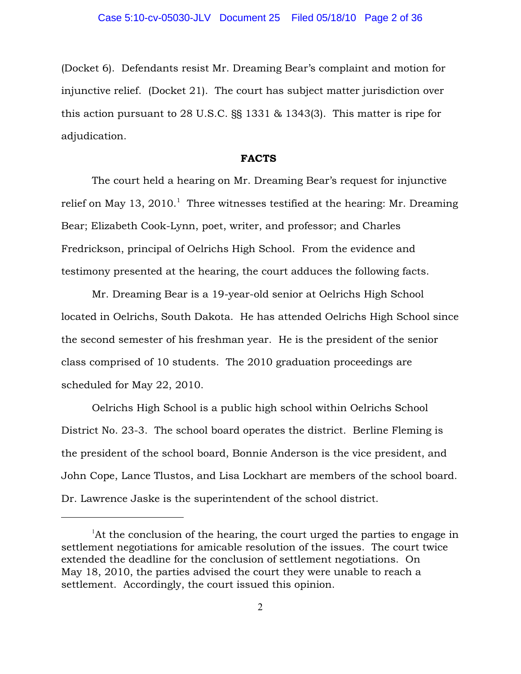(Docket 6). Defendants resist Mr. Dreaming Bear's complaint and motion for injunctive relief. (Docket 21). The court has subject matter jurisdiction over this action pursuant to 28 U.S.C. §§ 1331 & 1343(3). This matter is ripe for adjudication.

#### FACTS

The court held a hearing on Mr. Dreaming Bear's request for injunctive relief on May 13, 2010.<sup>1</sup> Three witnesses testified at the hearing: Mr. Dreaming Bear; Elizabeth Cook-Lynn, poet, writer, and professor; and Charles Fredrickson, principal of Oelrichs High School. From the evidence and testimony presented at the hearing, the court adduces the following facts.

Mr. Dreaming Bear is a 19-year-old senior at Oelrichs High School located in Oelrichs, South Dakota. He has attended Oelrichs High School since the second semester of his freshman year. He is the president of the senior class comprised of 10 students. The 2010 graduation proceedings are scheduled for May 22, 2010.

Oelrichs High School is a public high school within Oelrichs School District No. 23-3. The school board operates the district. Berline Fleming is the president of the school board, Bonnie Anderson is the vice president, and John Cope, Lance Tlustos, and Lisa Lockhart are members of the school board. Dr. Lawrence Jaske is the superintendent of the school district.

 ${}^{1}$ At the conclusion of the hearing, the court urged the parties to engage in settlement negotiations for amicable resolution of the issues. The court twice extended the deadline for the conclusion of settlement negotiations. On May 18, 2010, the parties advised the court they were unable to reach a settlement. Accordingly, the court issued this opinion.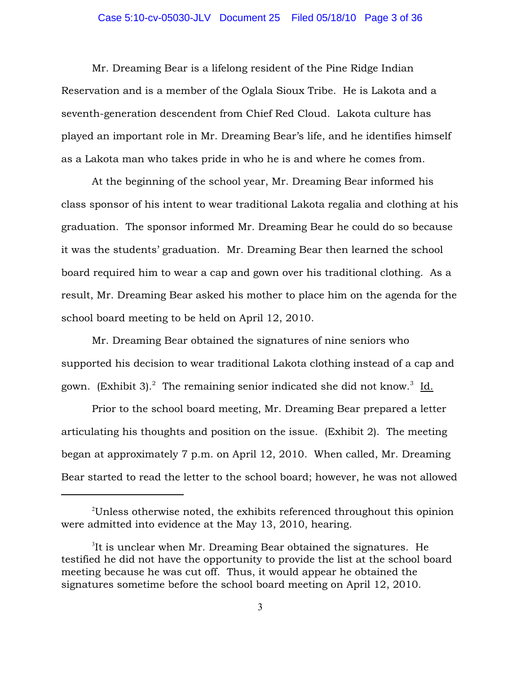## Case 5:10-cv-05030-JLV Document 25 Filed 05/18/10 Page 3 of 36

Mr. Dreaming Bear is a lifelong resident of the Pine Ridge Indian Reservation and is a member of the Oglala Sioux Tribe. He is Lakota and a seventh-generation descendent from Chief Red Cloud. Lakota culture has played an important role in Mr. Dreaming Bear's life, and he identifies himself as a Lakota man who takes pride in who he is and where he comes from.

At the beginning of the school year, Mr. Dreaming Bear informed his class sponsor of his intent to wear traditional Lakota regalia and clothing at his graduation. The sponsor informed Mr. Dreaming Bear he could do so because it was the students' graduation. Mr. Dreaming Bear then learned the school board required him to wear a cap and gown over his traditional clothing. As a result, Mr. Dreaming Bear asked his mother to place him on the agenda for the school board meeting to be held on April 12, 2010.

Mr. Dreaming Bear obtained the signatures of nine seniors who supported his decision to wear traditional Lakota clothing instead of a cap and gown. (Exhibit 3).<sup>2</sup> The remaining senior indicated she did not know.<sup>3</sup> Id.

Prior to the school board meeting, Mr. Dreaming Bear prepared a letter articulating his thoughts and position on the issue. (Exhibit 2). The meeting began at approximately 7 p.m. on April 12, 2010. When called, Mr. Dreaming Bear started to read the letter to the school board; however, he was not allowed

 $^{2}$ Unless otherwise noted, the exhibits referenced throughout this opinion were admitted into evidence at the May 13, 2010, hearing.

 ${}^{3}$ It is unclear when Mr. Dreaming Bear obtained the signatures. He testified he did not have the opportunity to provide the list at the school board meeting because he was cut off. Thus, it would appear he obtained the signatures sometime before the school board meeting on April 12, 2010.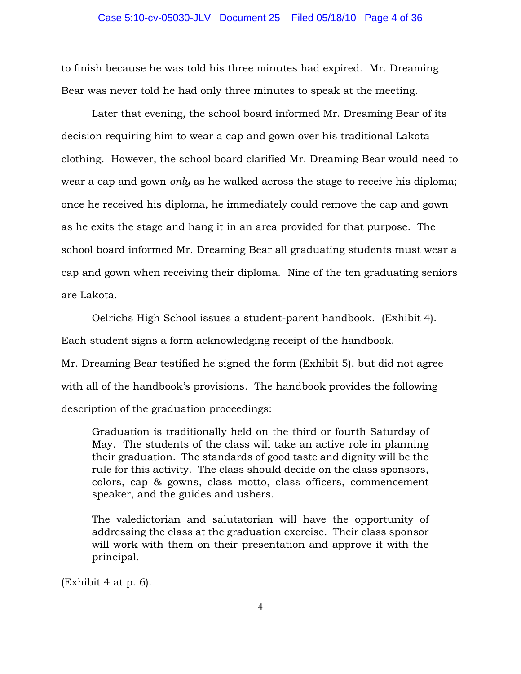to finish because he was told his three minutes had expired. Mr. Dreaming Bear was never told he had only three minutes to speak at the meeting.

Later that evening, the school board informed Mr. Dreaming Bear of its decision requiring him to wear a cap and gown over his traditional Lakota clothing. However, the school board clarified Mr. Dreaming Bear would need to wear a cap and gown *only* as he walked across the stage to receive his diploma; once he received his diploma, he immediately could remove the cap and gown as he exits the stage and hang it in an area provided for that purpose. The school board informed Mr. Dreaming Bear all graduating students must wear a cap and gown when receiving their diploma. Nine of the ten graduating seniors are Lakota.

Oelrichs High School issues a student-parent handbook. (Exhibit 4). Each student signs a form acknowledging receipt of the handbook.

Mr. Dreaming Bear testified he signed the form (Exhibit 5), but did not agree with all of the handbook's provisions. The handbook provides the following description of the graduation proceedings:

Graduation is traditionally held on the third or fourth Saturday of May. The students of the class will take an active role in planning their graduation. The standards of good taste and dignity will be the rule for this activity. The class should decide on the class sponsors, colors, cap & gowns, class motto, class officers, commencement speaker, and the guides and ushers.

The valedictorian and salutatorian will have the opportunity of addressing the class at the graduation exercise. Their class sponsor will work with them on their presentation and approve it with the principal.

(Exhibit 4 at p. 6).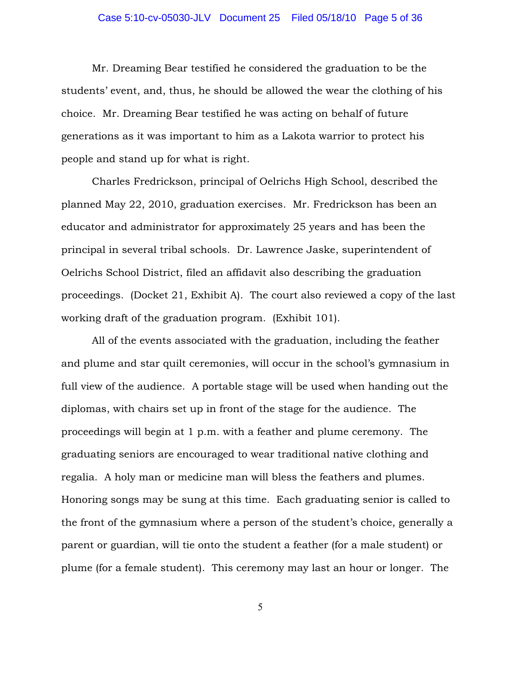## Case 5:10-cv-05030-JLV Document 25 Filed 05/18/10 Page 5 of 36

Mr. Dreaming Bear testified he considered the graduation to be the students' event, and, thus, he should be allowed the wear the clothing of his choice. Mr. Dreaming Bear testified he was acting on behalf of future generations as it was important to him as a Lakota warrior to protect his people and stand up for what is right.

Charles Fredrickson, principal of Oelrichs High School, described the planned May 22, 2010, graduation exercises. Mr. Fredrickson has been an educator and administrator for approximately 25 years and has been the principal in several tribal schools. Dr. Lawrence Jaske, superintendent of Oelrichs School District, filed an affidavit also describing the graduation proceedings. (Docket 21, Exhibit A). The court also reviewed a copy of the last working draft of the graduation program. (Exhibit 101).

All of the events associated with the graduation, including the feather and plume and star quilt ceremonies, will occur in the school's gymnasium in full view of the audience. A portable stage will be used when handing out the diplomas, with chairs set up in front of the stage for the audience. The proceedings will begin at 1 p.m. with a feather and plume ceremony. The graduating seniors are encouraged to wear traditional native clothing and regalia. A holy man or medicine man will bless the feathers and plumes. Honoring songs may be sung at this time. Each graduating senior is called to the front of the gymnasium where a person of the student's choice, generally a parent or guardian, will tie onto the student a feather (for a male student) or plume (for a female student). This ceremony may last an hour or longer. The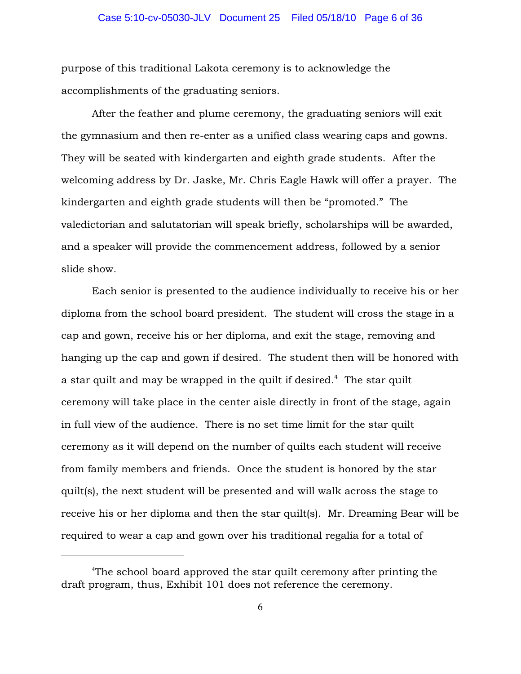## Case 5:10-cv-05030-JLV Document 25 Filed 05/18/10 Page 6 of 36

purpose of this traditional Lakota ceremony is to acknowledge the accomplishments of the graduating seniors.

After the feather and plume ceremony, the graduating seniors will exit the gymnasium and then re-enter as a unified class wearing caps and gowns. They will be seated with kindergarten and eighth grade students. After the welcoming address by Dr. Jaske, Mr. Chris Eagle Hawk will offer a prayer. The kindergarten and eighth grade students will then be "promoted." The valedictorian and salutatorian will speak briefly, scholarships will be awarded, and a speaker will provide the commencement address, followed by a senior slide show.

Each senior is presented to the audience individually to receive his or her diploma from the school board president. The student will cross the stage in a cap and gown, receive his or her diploma, and exit the stage, removing and hanging up the cap and gown if desired. The student then will be honored with a star quilt and may be wrapped in the quilt if desired.<sup> $4$ </sup> The star quilt ceremony will take place in the center aisle directly in front of the stage, again in full view of the audience. There is no set time limit for the star quilt ceremony as it will depend on the number of quilts each student will receive from family members and friends. Once the student is honored by the star quilt(s), the next student will be presented and will walk across the stage to receive his or her diploma and then the star quilt(s). Mr. Dreaming Bear will be required to wear a cap and gown over his traditional regalia for a total of

<sup>&</sup>lt;sup>4</sup>The school board approved the star quilt ceremony after printing the draft program, thus, Exhibit 101 does not reference the ceremony.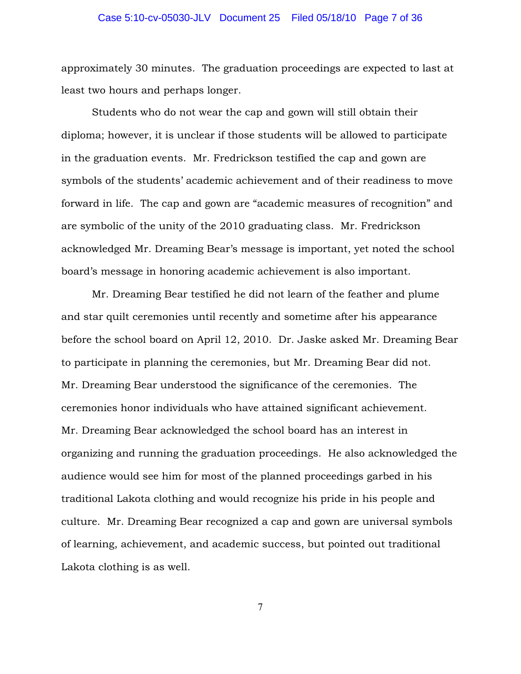## Case 5:10-cv-05030-JLV Document 25 Filed 05/18/10 Page 7 of 36

approximately 30 minutes. The graduation proceedings are expected to last at least two hours and perhaps longer.

Students who do not wear the cap and gown will still obtain their diploma; however, it is unclear if those students will be allowed to participate in the graduation events. Mr. Fredrickson testified the cap and gown are symbols of the students' academic achievement and of their readiness to move forward in life. The cap and gown are "academic measures of recognition" and are symbolic of the unity of the 2010 graduating class. Mr. Fredrickson acknowledged Mr. Dreaming Bear's message is important, yet noted the school board's message in honoring academic achievement is also important.

Mr. Dreaming Bear testified he did not learn of the feather and plume and star quilt ceremonies until recently and sometime after his appearance before the school board on April 12, 2010. Dr. Jaske asked Mr. Dreaming Bear to participate in planning the ceremonies, but Mr. Dreaming Bear did not. Mr. Dreaming Bear understood the significance of the ceremonies. The ceremonies honor individuals who have attained significant achievement. Mr. Dreaming Bear acknowledged the school board has an interest in organizing and running the graduation proceedings. He also acknowledged the audience would see him for most of the planned proceedings garbed in his traditional Lakota clothing and would recognize his pride in his people and culture. Mr. Dreaming Bear recognized a cap and gown are universal symbols of learning, achievement, and academic success, but pointed out traditional Lakota clothing is as well.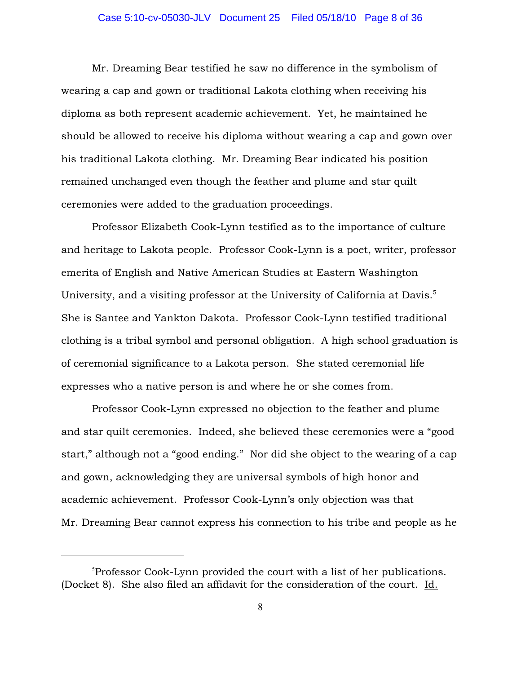## Case 5:10-cv-05030-JLV Document 25 Filed 05/18/10 Page 8 of 36

Mr. Dreaming Bear testified he saw no difference in the symbolism of wearing a cap and gown or traditional Lakota clothing when receiving his diploma as both represent academic achievement. Yet, he maintained he should be allowed to receive his diploma without wearing a cap and gown over his traditional Lakota clothing. Mr. Dreaming Bear indicated his position remained unchanged even though the feather and plume and star quilt ceremonies were added to the graduation proceedings.

Professor Elizabeth Cook-Lynn testified as to the importance of culture and heritage to Lakota people. Professor Cook-Lynn is a poet, writer, professor emerita of English and Native American Studies at Eastern Washington University, and a visiting professor at the University of California at Davis.<sup>5</sup> She is Santee and Yankton Dakota. Professor Cook-Lynn testified traditional clothing is a tribal symbol and personal obligation. A high school graduation is of ceremonial significance to a Lakota person. She stated ceremonial life expresses who a native person is and where he or she comes from.

Professor Cook-Lynn expressed no objection to the feather and plume and star quilt ceremonies. Indeed, she believed these ceremonies were a "good start," although not a "good ending." Nor did she object to the wearing of a cap and gown, acknowledging they are universal symbols of high honor and academic achievement. Professor Cook-Lynn's only objection was that Mr. Dreaming Bear cannot express his connection to his tribe and people as he

 ${}^{5}$ Professor Cook-Lynn provided the court with a list of her publications. (Docket 8). She also filed an affidavit for the consideration of the court. Id.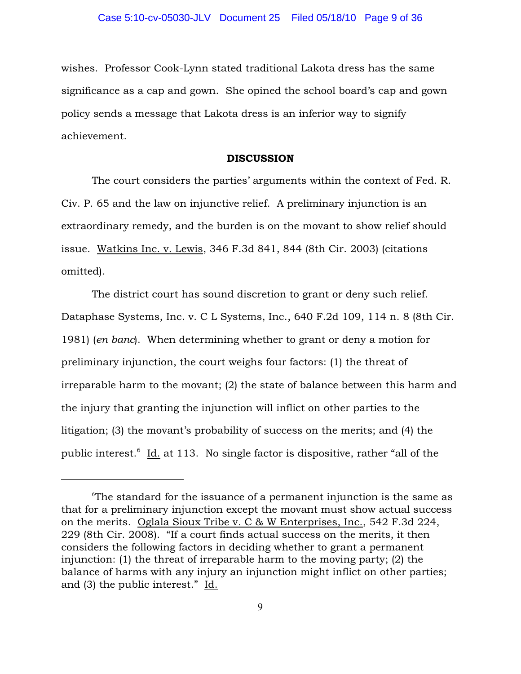wishes. Professor Cook-Lynn stated traditional Lakota dress has the same significance as a cap and gown. She opined the school board's cap and gown policy sends a message that Lakota dress is an inferior way to signify achievement.

#### **DISCUSSION**

The court considers the parties' arguments within the context of Fed. R. Civ. P. 65 and the law on injunctive relief. A preliminary injunction is an extraordinary remedy, and the burden is on the movant to show relief should issue. Watkins Inc. v. Lewis, 346 F.3d 841, 844 (8th Cir. 2003) (citations omitted).

The district court has sound discretion to grant or deny such relief. Dataphase Systems, Inc. v. C L Systems, Inc., 640 F.2d 109, 114 n. 8 (8th Cir. 1981) (*en banc*). When determining whether to grant or deny a motion for preliminary injunction, the court weighs four factors: (1) the threat of irreparable harm to the movant; (2) the state of balance between this harm and the injury that granting the injunction will inflict on other parties to the litigation; (3) the movant's probability of success on the merits; and (4) the public interest. Id. at 113. No single factor is dispositive, rather "all of the

 $\sigma$ The standard for the issuance of a permanent injunction is the same as that for a preliminary injunction except the movant must show actual success on the merits. Oglala Sioux Tribe v. C & W Enterprises, Inc., 542 F.3d 224, 229 (8th Cir. 2008). "If a court finds actual success on the merits, it then considers the following factors in deciding whether to grant a permanent injunction: (1) the threat of irreparable harm to the moving party; (2) the balance of harms with any injury an injunction might inflict on other parties; and (3) the public interest." Id.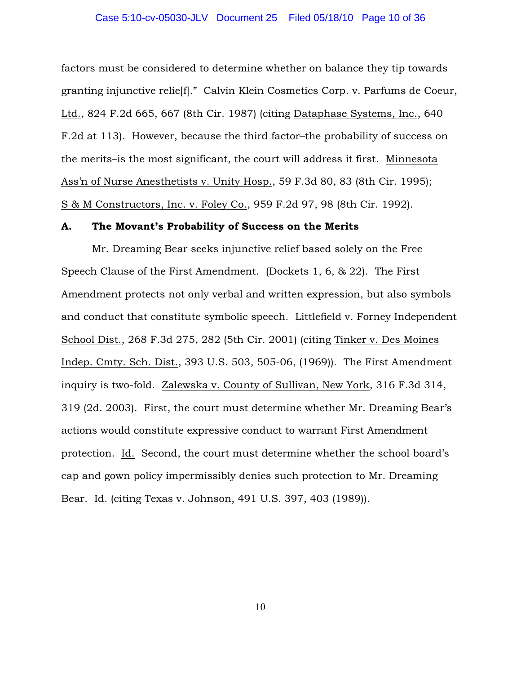factors must be considered to determine whether on balance they tip towards granting injunctive relie[f]." Calvin Klein Cosmetics Corp. v. Parfums de Coeur, Ltd., 824 F.2d 665, 667 (8th Cir. 1987) (citing Dataphase Systems, Inc., 640 F.2d at 113). However, because the third factor–the probability of success on the merits–is the most significant, the court will address it first. Minnesota Ass'n of Nurse Anesthetists v. Unity Hosp., 59 F.3d 80, 83 (8th Cir. 1995); S & M Constructors, Inc. v. Foley Co., 959 F.2d 97, 98 (8th Cir. 1992).

#### A. The Movant's Probability of Success on the Merits

Mr. Dreaming Bear seeks injunctive relief based solely on the Free Speech Clause of the First Amendment. (Dockets 1, 6, & 22). The First Amendment protects not only verbal and written expression, but also symbols and conduct that constitute symbolic speech. Littlefield v. Forney Independent School Dist., 268 F.3d 275, 282 (5th Cir. 2001) (citing Tinker v. Des Moines Indep. Cmty. Sch. Dist., 393 U.S. 503, 505-06, (1969)). The First Amendment inquiry is two-fold. Zalewska v. County of Sullivan, New York, 316 F.3d 314, 319 (2d. 2003). First, the court must determine whether Mr. Dreaming Bear's actions would constitute expressive conduct to warrant First Amendment protection. Id. Second, the court must determine whether the school board's cap and gown policy impermissibly denies such protection to Mr. Dreaming Bear. Id. (citing Texas v. Johnson, 491 U.S. 397, 403 (1989)).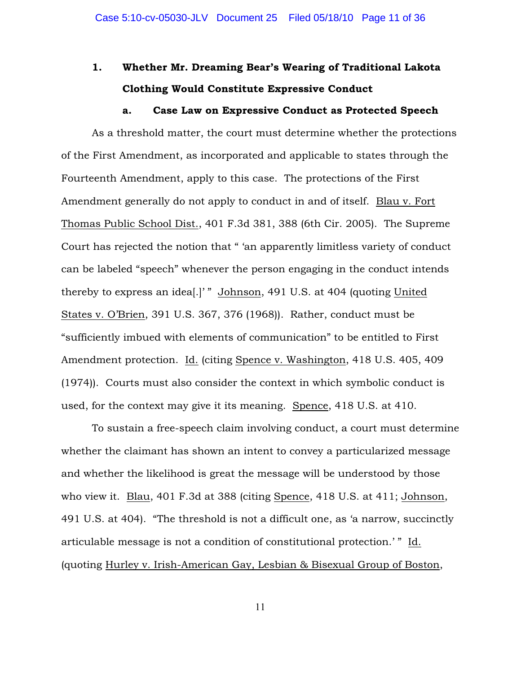# 1. Whether Mr. Dreaming Bear's Wearing of Traditional Lakota Clothing Would Constitute Expressive Conduct

#### a. Case Law on Expressive Conduct as Protected Speech

As a threshold matter, the court must determine whether the protections of the First Amendment, as incorporated and applicable to states through the Fourteenth Amendment, apply to this case. The protections of the First Amendment generally do not apply to conduct in and of itself. Blau v. Fort Thomas Public School Dist., 401 F.3d 381, 388 (6th Cir. 2005). The Supreme Court has rejected the notion that " 'an apparently limitless variety of conduct can be labeled "speech" whenever the person engaging in the conduct intends thereby to express an idea[.]' " Johnson, 491 U.S. at 404 (quoting United States v. O'Brien, 391 U.S. 367, 376 (1968)). Rather, conduct must be "sufficiently imbued with elements of communication" to be entitled to First Amendment protection. Id. (citing Spence v. Washington, 418 U.S. 405, 409 (1974)). Courts must also consider the context in which symbolic conduct is used, for the context may give it its meaning. Spence, 418 U.S. at 410.

To sustain a free-speech claim involving conduct, a court must determine whether the claimant has shown an intent to convey a particularized message and whether the likelihood is great the message will be understood by those who view it. Blau, 401 F.3d at 388 (citing Spence, 418 U.S. at 411; Johnson, 491 U.S. at 404). "The threshold is not a difficult one, as 'a narrow, succinctly articulable message is not a condition of constitutional protection.'" Id. (quoting Hurley v. Irish-American Gay, Lesbian & Bisexual Group of Boston,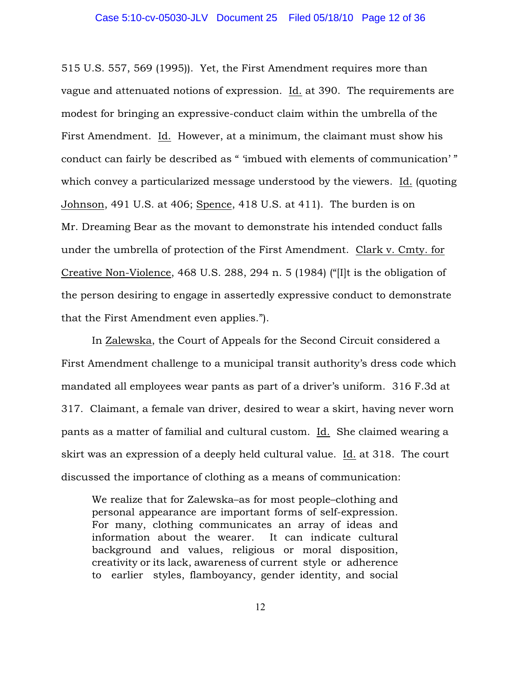515 U.S. 557, 569 (1995)). Yet, the First Amendment requires more than vague and attenuated notions of expression. Id. at 390. The requirements are modest for bringing an expressive-conduct claim within the umbrella of the First Amendment. Id. However, at a minimum, the claimant must show his conduct can fairly be described as " 'imbued with elements of communication' " which convey a particularized message understood by the viewers. Id. (quoting Johnson, 491 U.S. at 406; Spence, 418 U.S. at 411). The burden is on Mr. Dreaming Bear as the movant to demonstrate his intended conduct falls under the umbrella of protection of the First Amendment. Clark v. Cmty. for Creative Non-Violence, 468 U.S. 288, 294 n. 5 (1984) ("[I]t is the obligation of the person desiring to engage in assertedly expressive conduct to demonstrate that the First Amendment even applies.").

In Zalewska, the Court of Appeals for the Second Circuit considered a First Amendment challenge to a municipal transit authority's dress code which mandated all employees wear pants as part of a driver's uniform. 316 F.3d at 317. Claimant, a female van driver, desired to wear a skirt, having never worn pants as a matter of familial and cultural custom. Id. She claimed wearing a skirt was an expression of a deeply held cultural value. Id. at 318. The court discussed the importance of clothing as a means of communication:

We realize that for Zalewska–as for most people–clothing and personal appearance are important forms of self-expression. For many, clothing communicates an array of ideas and information about the wearer. It can indicate cultural background and values, religious or moral disposition, creativity or its lack, awareness of current style or adherence to earlier styles, flamboyancy, gender identity, and social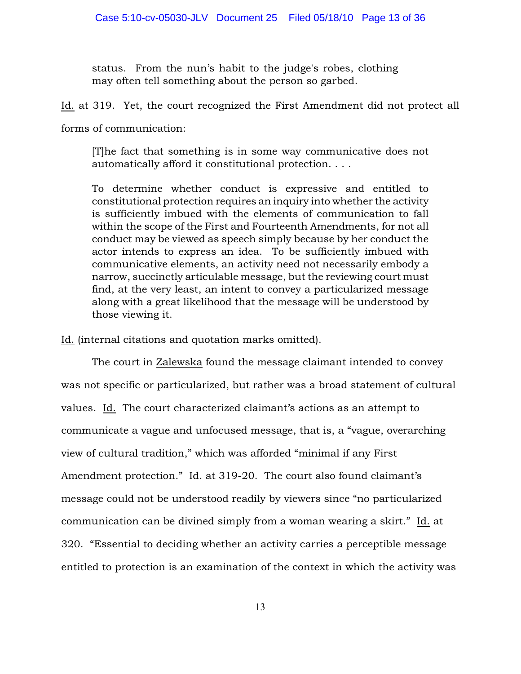status. From the nun's habit to the judge's robes, clothing may often tell something about the person so garbed.

Id. at 319. Yet, the court recognized the First Amendment did not protect all

forms of communication:

[T]he fact that something is in some way communicative does not automatically afford it constitutional protection. . . .

To determine whether conduct is expressive and entitled to constitutional protection requires an inquiry into whether the activity is sufficiently imbued with the elements of communication to fall within the scope of the First and Fourteenth Amendments, for not all conduct may be viewed as speech simply because by her conduct the actor intends to express an idea. To be sufficiently imbued with communicative elements, an activity need not necessarily embody a narrow, succinctly articulable message, but the reviewing court must find, at the very least, an intent to convey a particularized message along with a great likelihood that the message will be understood by those viewing it.

Id. (internal citations and quotation marks omitted).

The court in Zalewska found the message claimant intended to convey was not specific or particularized, but rather was a broad statement of cultural values. Id. The court characterized claimant's actions as an attempt to communicate a vague and unfocused message, that is, a "vague, overarching view of cultural tradition," which was afforded "minimal if any First Amendment protection." Id. at 319-20. The court also found claimant's message could not be understood readily by viewers since "no particularized communication can be divined simply from a woman wearing a skirt." Id. at 320. "Essential to deciding whether an activity carries a perceptible message entitled to protection is an examination of the context in which the activity was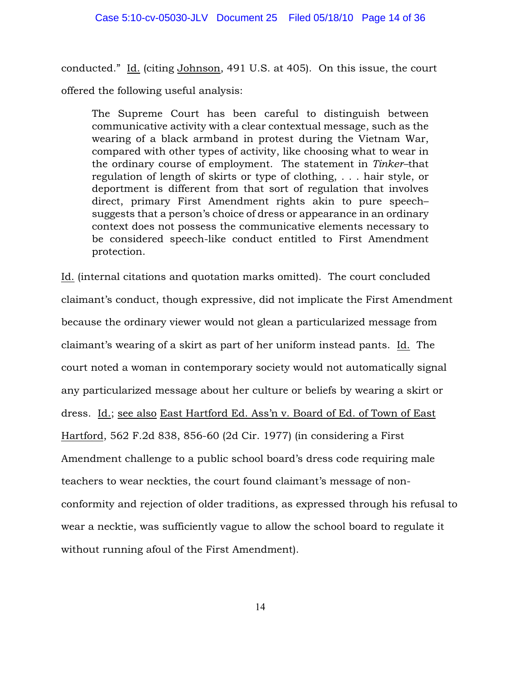conducted." Id. (citing Johnson, 491 U.S. at 405). On this issue, the court offered the following useful analysis:

The Supreme Court has been careful to distinguish between communicative activity with a clear contextual message, such as the wearing of a black armband in protest during the Vietnam War, compared with other types of activity, like choosing what to wear in the ordinary course of employment. The statement in *Tinker–*that regulation of length of skirts or type of clothing, . . . hair style, or deportment is different from that sort of regulation that involves direct, primary First Amendment rights akin to pure speech– suggests that a person's choice of dress or appearance in an ordinary context does not possess the communicative elements necessary to be considered speech-like conduct entitled to First Amendment protection.

Id. (internal citations and quotation marks omitted). The court concluded claimant's conduct, though expressive, did not implicate the First Amendment because the ordinary viewer would not glean a particularized message from claimant's wearing of a skirt as part of her uniform instead pants. Id. The court noted a woman in contemporary society would not automatically signal any particularized message about her culture or beliefs by wearing a skirt or dress. Id.; see also East Hartford Ed. Ass'n v. Board of Ed. of Town of East Hartford, 562 F.2d 838, 856-60 (2d Cir. 1977) (in considering a First Amendment challenge to a public school board's dress code requiring male teachers to wear neckties, the court found claimant's message of nonconformity and rejection of older traditions, as expressed through his refusal to wear a necktie, was sufficiently vague to allow the school board to regulate it without running afoul of the First Amendment).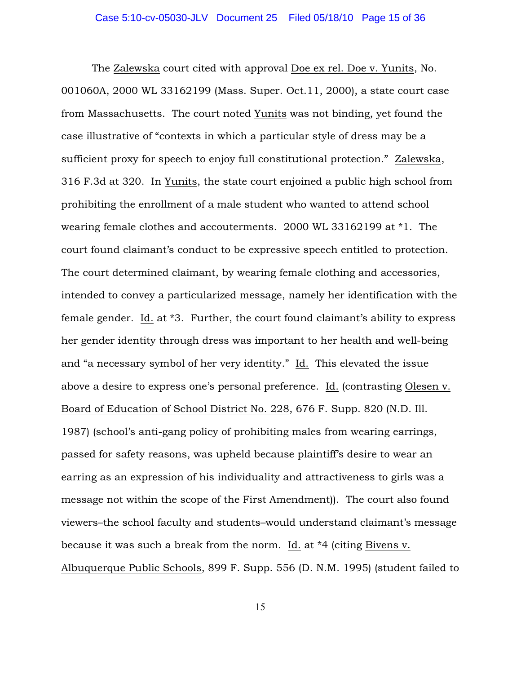The Zalewska court cited with approval Doe ex rel. Doe v. Yunits, No. 001060A, 2000 WL 33162199 (Mass. Super. Oct.11, 2000), a state court case from Massachusetts. The court noted Yunits was not binding, yet found the case illustrative of "contexts in which a particular style of dress may be a sufficient proxy for speech to enjoy full constitutional protection." Zalewska, 316 F.3d at 320. In Yunits, the state court enjoined a public high school from prohibiting the enrollment of a male student who wanted to attend school wearing female clothes and accouterments. 2000 WL 33162199 at \*1. The court found claimant's conduct to be expressive speech entitled to protection. The court determined claimant, by wearing female clothing and accessories, intended to convey a particularized message, namely her identification with the female gender. Id. at \*3. Further, the court found claimant's ability to express her gender identity through dress was important to her health and well-being and "a necessary symbol of her very identity." Id. This elevated the issue above a desire to express one's personal preference. Id. (contrasting Olesen v. Board of Education of School District No. 228, 676 F. Supp. 820 (N.D. Ill. 1987) (school's anti-gang policy of prohibiting males from wearing earrings, passed for safety reasons, was upheld because plaintiff's desire to wear an earring as an expression of his individuality and attractiveness to girls was a message not within the scope of the First Amendment)). The court also found viewers–the school faculty and students–would understand claimant's message because it was such a break from the norm. Id. at \*4 (citing Bivens v. Albuquerque Public Schools, 899 F. Supp. 556 (D. N.M. 1995) (student failed to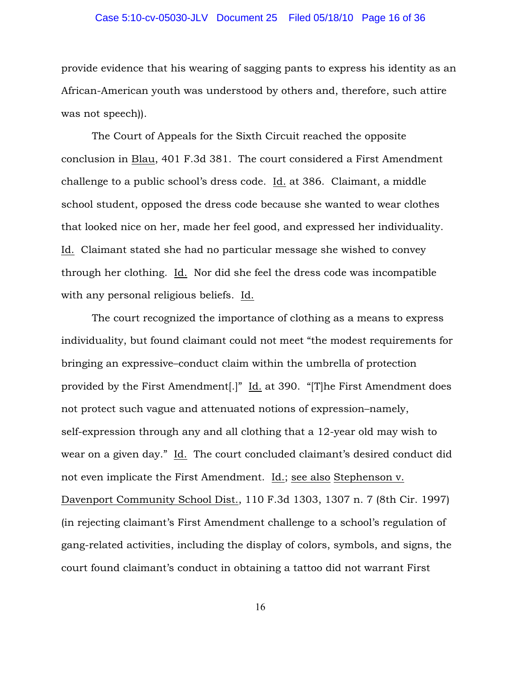# Case 5:10-cv-05030-JLV Document 25 Filed 05/18/10 Page 16 of 36

provide evidence that his wearing of sagging pants to express his identity as an African-American youth was understood by others and, therefore, such attire was not speech)).

The Court of Appeals for the Sixth Circuit reached the opposite conclusion in Blau, 401 F.3d 381. The court considered a First Amendment challenge to a public school's dress code. Id. at 386. Claimant, a middle school student, opposed the dress code because she wanted to wear clothes that looked nice on her, made her feel good, and expressed her individuality. Id. Claimant stated she had no particular message she wished to convey through her clothing. Id. Nor did she feel the dress code was incompatible with any personal religious beliefs. Id.

The court recognized the importance of clothing as a means to express individuality, but found claimant could not meet "the modest requirements for bringing an expressive–conduct claim within the umbrella of protection provided by the First Amendment[.]" Id. at 390. "[T]he First Amendment does not protect such vague and attenuated notions of expression–namely, self-expression through any and all clothing that a 12-year old may wish to wear on a given day." Id. The court concluded claimant's desired conduct did not even implicate the First Amendment. Id.; see also Stephenson v. Davenport Community School Dist., 110 F.3d 1303, 1307 n. 7 (8th Cir. 1997) (in rejecting claimant's First Amendment challenge to a school's regulation of gang-related activities, including the display of colors, symbols, and signs, the court found claimant's conduct in obtaining a tattoo did not warrant First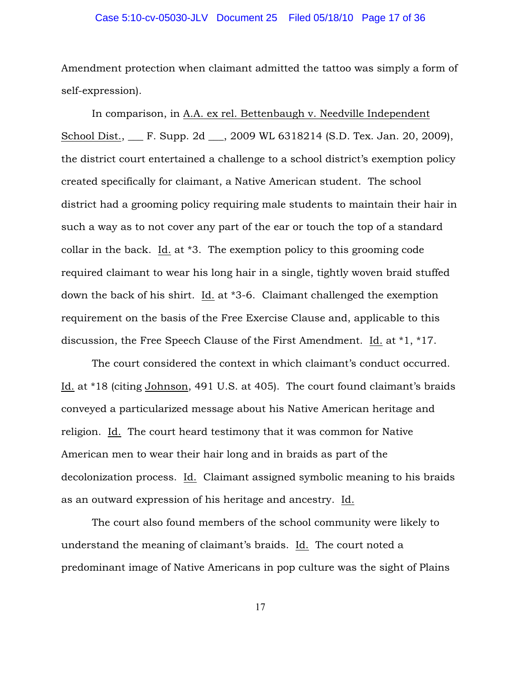# Case 5:10-cv-05030-JLV Document 25 Filed 05/18/10 Page 17 of 36

Amendment protection when claimant admitted the tattoo was simply a form of self-expression).

In comparison, in A.A. ex rel. Bettenbaugh v. Needville Independent School Dist., \_\_\_ F. Supp. 2d \_\_\_, 2009 WL 6318214 (S.D. Tex. Jan. 20, 2009), the district court entertained a challenge to a school district's exemption policy created specifically for claimant, a Native American student. The school district had a grooming policy requiring male students to maintain their hair in such a way as to not cover any part of the ear or touch the top of a standard collar in the back. Id. at \*3. The exemption policy to this grooming code required claimant to wear his long hair in a single, tightly woven braid stuffed down the back of his shirt. Id. at \*3-6. Claimant challenged the exemption requirement on the basis of the Free Exercise Clause and, applicable to this discussion, the Free Speech Clause of the First Amendment. Id. at \*1, \*17.

The court considered the context in which claimant's conduct occurred. Id. at \*18 (citing Johnson, 491 U.S. at 405). The court found claimant's braids conveyed a particularized message about his Native American heritage and religion. Id. The court heard testimony that it was common for Native American men to wear their hair long and in braids as part of the decolonization process. Id. Claimant assigned symbolic meaning to his braids as an outward expression of his heritage and ancestry. Id.

The court also found members of the school community were likely to understand the meaning of claimant's braids. Id. The court noted a predominant image of Native Americans in pop culture was the sight of Plains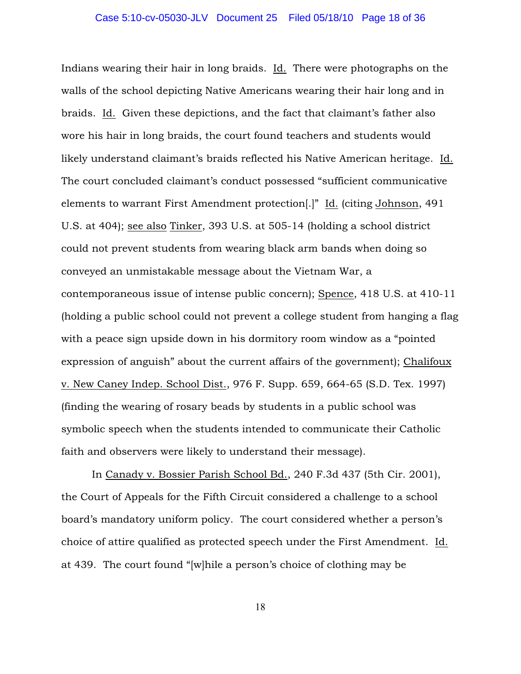Indians wearing their hair in long braids. Id. There were photographs on the walls of the school depicting Native Americans wearing their hair long and in braids. Id. Given these depictions, and the fact that claimant's father also wore his hair in long braids, the court found teachers and students would likely understand claimant's braids reflected his Native American heritage. Id. The court concluded claimant's conduct possessed "sufficient communicative elements to warrant First Amendment protection[.]" Id. (citing Johnson, 491 U.S. at 404); see also Tinker, 393 U.S. at 505-14 (holding a school district could not prevent students from wearing black arm bands when doing so conveyed an unmistakable message about the Vietnam War, a contemporaneous issue of intense public concern); Spence, 418 U.S. at 410-11 (holding a public school could not prevent a college student from hanging a flag with a peace sign upside down in his dormitory room window as a "pointed expression of anguish" about the current affairs of the government); Chalifoux v. New Caney Indep. School Dist., 976 F. Supp. 659, 664-65 (S.D. Tex. 1997) (finding the wearing of rosary beads by students in a public school was symbolic speech when the students intended to communicate their Catholic faith and observers were likely to understand their message).

In Canady v. Bossier Parish School Bd., 240 F.3d 437 (5th Cir. 2001), the Court of Appeals for the Fifth Circuit considered a challenge to a school board's mandatory uniform policy. The court considered whether a person's choice of attire qualified as protected speech under the First Amendment. Id. at 439. The court found "[w]hile a person's choice of clothing may be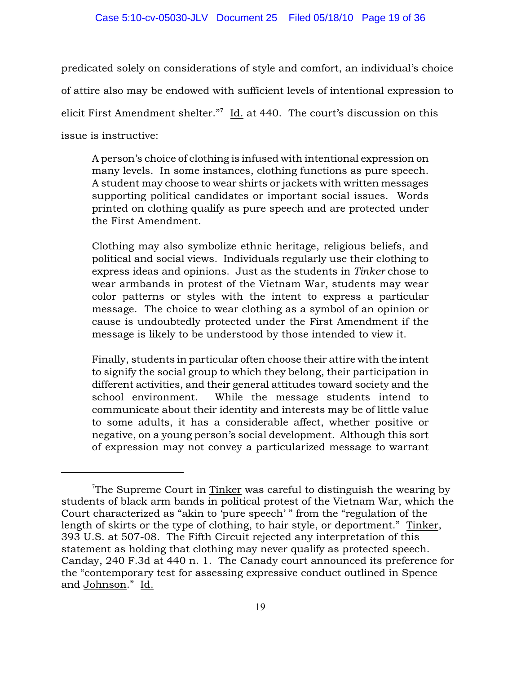predicated solely on considerations of style and comfort, an individual's choice of attire also may be endowed with sufficient levels of intentional expression to elicit First Amendment shelter."<sup>7</sup> Id. at 440. The court's discussion on this issue is instructive:

A person's choice of clothing is infused with intentional expression on many levels. In some instances, clothing functions as pure speech. A student may choose to wear shirts or jackets with written messages supporting political candidates or important social issues. Words printed on clothing qualify as pure speech and are protected under the First Amendment.

Clothing may also symbolize ethnic heritage, religious beliefs, and political and social views. Individuals regularly use their clothing to express ideas and opinions. Just as the students in *Tinker* chose to wear armbands in protest of the Vietnam War, students may wear color patterns or styles with the intent to express a particular message. The choice to wear clothing as a symbol of an opinion or cause is undoubtedly protected under the First Amendment if the message is likely to be understood by those intended to view it.

Finally, students in particular often choose their attire with the intent to signify the social group to which they belong, their participation in different activities, and their general attitudes toward society and the school environment. While the message students intend to communicate about their identity and interests may be of little value to some adults, it has a considerable affect, whether positive or negative, on a young person's social development. Although this sort of expression may not convey a particularized message to warrant

The Supreme Court in Tinker was careful to distinguish the wearing by students of black arm bands in political protest of the Vietnam War, which the Court characterized as "akin to 'pure speech' " from the "regulation of the length of skirts or the type of clothing, to hair style, or deportment." Tinker, 393 U.S. at 507-08. The Fifth Circuit rejected any interpretation of this statement as holding that clothing may never qualify as protected speech. Canday, 240 F.3d at 440 n. 1. The Canady court announced its preference for the "contemporary test for assessing expressive conduct outlined in Spence and Johnson." Id.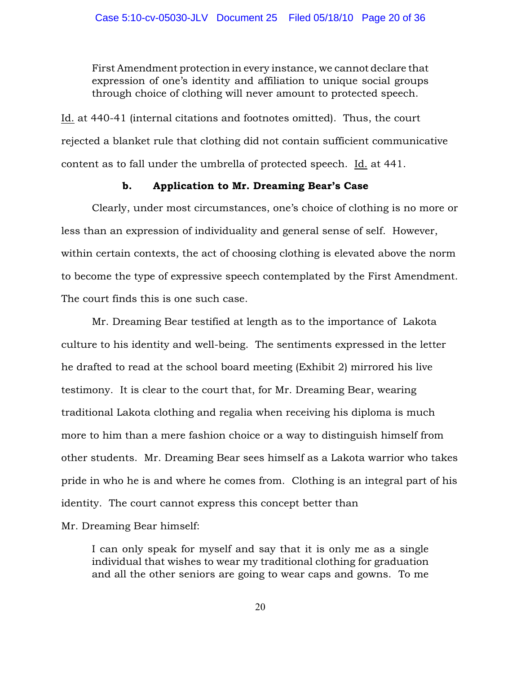First Amendment protection in every instance, we cannot declare that expression of one's identity and affiliation to unique social groups through choice of clothing will never amount to protected speech.

Id. at 440-41 (internal citations and footnotes omitted). Thus, the court rejected a blanket rule that clothing did not contain sufficient communicative content as to fall under the umbrella of protected speech. Id. at 441.

# b. Application to Mr. Dreaming Bear's Case

Clearly, under most circumstances, one's choice of clothing is no more or less than an expression of individuality and general sense of self. However, within certain contexts, the act of choosing clothing is elevated above the norm to become the type of expressive speech contemplated by the First Amendment. The court finds this is one such case.

Mr. Dreaming Bear testified at length as to the importance of Lakota culture to his identity and well-being. The sentiments expressed in the letter he drafted to read at the school board meeting (Exhibit 2) mirrored his live testimony. It is clear to the court that, for Mr. Dreaming Bear, wearing traditional Lakota clothing and regalia when receiving his diploma is much more to him than a mere fashion choice or a way to distinguish himself from other students. Mr. Dreaming Bear sees himself as a Lakota warrior who takes pride in who he is and where he comes from. Clothing is an integral part of his identity. The court cannot express this concept better than

Mr. Dreaming Bear himself:

I can only speak for myself and say that it is only me as a single individual that wishes to wear my traditional clothing for graduation and all the other seniors are going to wear caps and gowns. To me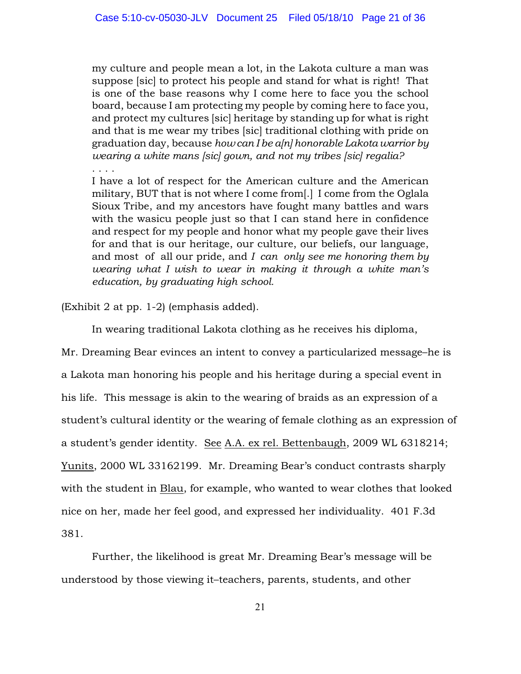my culture and people mean a lot, in the Lakota culture a man was suppose [sic] to protect his people and stand for what is right! That is one of the base reasons why I come here to face you the school board, because I am protecting my people by coming here to face you, and protect my cultures [sic] heritage by standing up for what is right and that is me wear my tribes [sic] traditional clothing with pride on graduation day, because *how can I be a[n] honorable Lakota warrior by wearing a white mans [sic] gown, and not my tribes [sic] regalia?*  . . . .

I have a lot of respect for the American culture and the American military, BUT that is not where I come from[.] I come from the Oglala Sioux Tribe, and my ancestors have fought many battles and wars with the wasicu people just so that I can stand here in confidence and respect for my people and honor what my people gave their lives for and that is our heritage, our culture, our beliefs, our language, and most of all our pride, and *I can only see me honoring them by wearing what I wish to wear in making it through a white man's education, by graduating high school.*

(Exhibit 2 at pp. 1-2) (emphasis added).

In wearing traditional Lakota clothing as he receives his diploma,

Mr. Dreaming Bear evinces an intent to convey a particularized message–he is a Lakota man honoring his people and his heritage during a special event in his life. This message is akin to the wearing of braids as an expression of a student's cultural identity or the wearing of female clothing as an expression of a student's gender identity. See A.A. ex rel. Bettenbaugh, 2009 WL 6318214; Yunits, 2000 WL 33162199. Mr. Dreaming Bear's conduct contrasts sharply with the student in Blau, for example, who wanted to wear clothes that looked nice on her, made her feel good, and expressed her individuality. 401 F.3d 381.

Further, the likelihood is great Mr. Dreaming Bear's message will be understood by those viewing it–teachers, parents, students, and other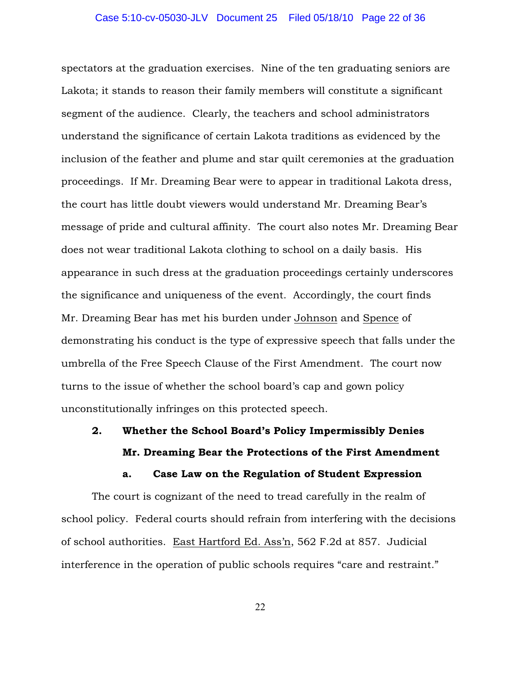spectators at the graduation exercises. Nine of the ten graduating seniors are Lakota; it stands to reason their family members will constitute a significant segment of the audience. Clearly, the teachers and school administrators understand the significance of certain Lakota traditions as evidenced by the inclusion of the feather and plume and star quilt ceremonies at the graduation proceedings. If Mr. Dreaming Bear were to appear in traditional Lakota dress, the court has little doubt viewers would understand Mr. Dreaming Bear's message of pride and cultural affinity. The court also notes Mr. Dreaming Bear does not wear traditional Lakota clothing to school on a daily basis. His appearance in such dress at the graduation proceedings certainly underscores the significance and uniqueness of the event. Accordingly, the court finds Mr. Dreaming Bear has met his burden under Johnson and Spence of demonstrating his conduct is the type of expressive speech that falls under the umbrella of the Free Speech Clause of the First Amendment. The court now turns to the issue of whether the school board's cap and gown policy unconstitutionally infringes on this protected speech.

# 2. Whether the School Board's Policy Impermissibly Denies Mr. Dreaming Bear the Protections of the First Amendment

a. Case Law on the Regulation of Student Expression

The court is cognizant of the need to tread carefully in the realm of school policy. Federal courts should refrain from interfering with the decisions of school authorities. East Hartford Ed. Ass'n, 562 F.2d at 857. Judicial interference in the operation of public schools requires "care and restraint."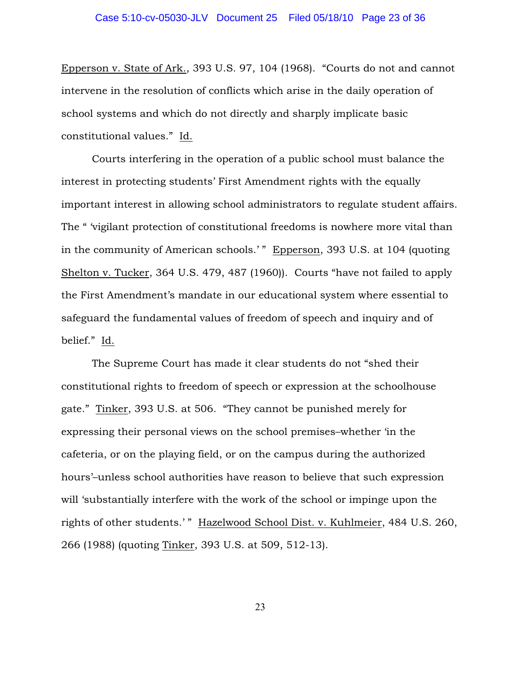Epperson v. State of Ark., 393 U.S. 97, 104 (1968). "Courts do not and cannot intervene in the resolution of conflicts which arise in the daily operation of school systems and which do not directly and sharply implicate basic constitutional values." Id.

Courts interfering in the operation of a public school must balance the interest in protecting students' First Amendment rights with the equally important interest in allowing school administrators to regulate student affairs. The " 'vigilant protection of constitutional freedoms is nowhere more vital than in the community of American schools.' " Epperson, 393 U.S. at 104 (quoting Shelton v. Tucker, 364 U.S. 479, 487 (1960)). Courts "have not failed to apply the First Amendment's mandate in our educational system where essential to safeguard the fundamental values of freedom of speech and inquiry and of belief." Id.

The Supreme Court has made it clear students do not "shed their constitutional rights to freedom of speech or expression at the schoolhouse gate." Tinker, 393 U.S. at 506. "They cannot be punished merely for expressing their personal views on the school premises–whether 'in the cafeteria, or on the playing field, or on the campus during the authorized hours'–unless school authorities have reason to believe that such expression will 'substantially interfere with the work of the school or impinge upon the rights of other students.'" Hazelwood School Dist. v. Kuhlmeier, 484 U.S. 260, 266 (1988) (quoting Tinker, 393 U.S. at 509, 512-13).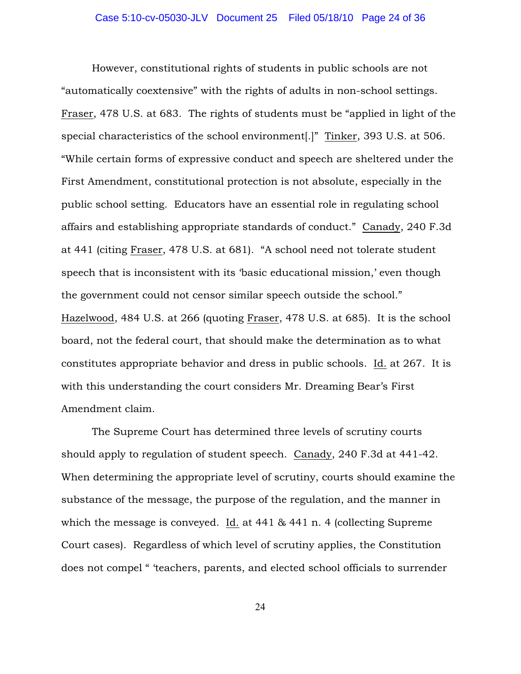However, constitutional rights of students in public schools are not "automatically coextensive" with the rights of adults in non-school settings. Fraser, 478 U.S. at 683. The rights of students must be "applied in light of the special characteristics of the school environment[.]" Tinker, 393 U.S. at 506. "While certain forms of expressive conduct and speech are sheltered under the First Amendment, constitutional protection is not absolute, especially in the public school setting. Educators have an essential role in regulating school affairs and establishing appropriate standards of conduct." Canady, 240 F.3d at 441 (citing Fraser, 478 U.S. at 681). "A school need not tolerate student speech that is inconsistent with its 'basic educational mission,' even though the government could not censor similar speech outside the school." Hazelwood, 484 U.S. at 266 (quoting Fraser, 478 U.S. at 685). It is the school board, not the federal court, that should make the determination as to what constitutes appropriate behavior and dress in public schools. Id. at 267. It is with this understanding the court considers Mr. Dreaming Bear's First Amendment claim.

The Supreme Court has determined three levels of scrutiny courts should apply to regulation of student speech. Canady, 240 F.3d at 441-42. When determining the appropriate level of scrutiny, courts should examine the substance of the message, the purpose of the regulation, and the manner in which the message is conveyed. Id. at 441 & 441 n. 4 (collecting Supreme Court cases). Regardless of which level of scrutiny applies, the Constitution does not compel " 'teachers, parents, and elected school officials to surrender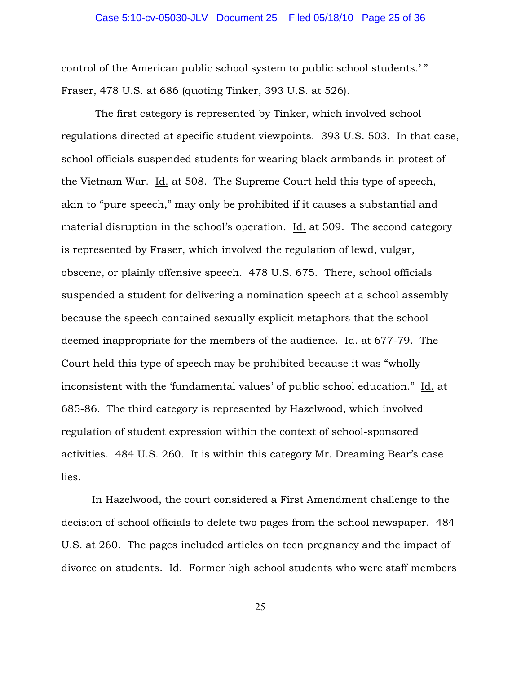control of the American public school system to public school students.' " Fraser, 478 U.S. at 686 (quoting Tinker, 393 U.S. at 526).

 The first category is represented by Tinker, which involved school regulations directed at specific student viewpoints. 393 U.S. 503. In that case, school officials suspended students for wearing black armbands in protest of the Vietnam War. Id. at 508. The Supreme Court held this type of speech, akin to "pure speech," may only be prohibited if it causes a substantial and material disruption in the school's operation. Id. at 509. The second category is represented by Fraser, which involved the regulation of lewd, vulgar, obscene, or plainly offensive speech. 478 U.S. 675. There, school officials suspended a student for delivering a nomination speech at a school assembly because the speech contained sexually explicit metaphors that the school deemed inappropriate for the members of the audience. Id. at 677-79. The Court held this type of speech may be prohibited because it was "wholly inconsistent with the 'fundamental values' of public school education." Id. at 685-86. The third category is represented by Hazelwood, which involved regulation of student expression within the context of school-sponsored activities. 484 U.S. 260. It is within this category Mr. Dreaming Bear's case lies.

In Hazelwood, the court considered a First Amendment challenge to the decision of school officials to delete two pages from the school newspaper. 484 U.S. at 260. The pages included articles on teen pregnancy and the impact of divorce on students. Id. Former high school students who were staff members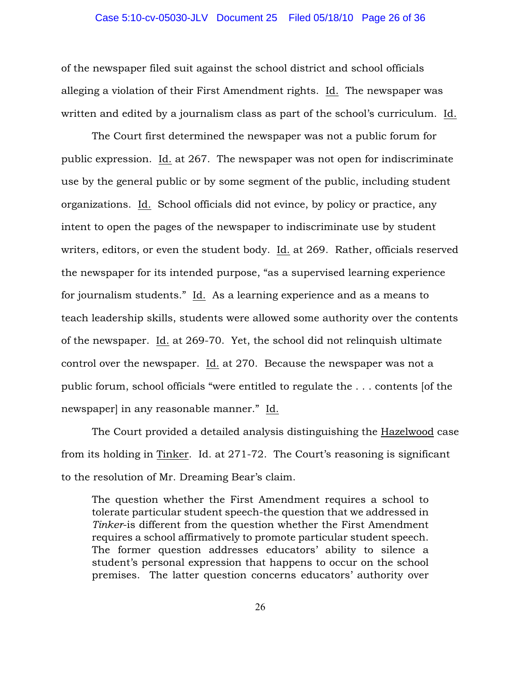of the newspaper filed suit against the school district and school officials alleging a violation of their First Amendment rights. Id. The newspaper was written and edited by a journalism class as part of the school's curriculum. Id.

The Court first determined the newspaper was not a public forum for public expression. Id. at 267. The newspaper was not open for indiscriminate use by the general public or by some segment of the public, including student organizations. Id. School officials did not evince, by policy or practice, any intent to open the pages of the newspaper to indiscriminate use by student writers, editors, or even the student body. Id. at 269. Rather, officials reserved the newspaper for its intended purpose, "as a supervised learning experience for journalism students." Id. As a learning experience and as a means to teach leadership skills, students were allowed some authority over the contents of the newspaper. Id. at 269-70. Yet, the school did not relinquish ultimate control over the newspaper. Id. at 270. Because the newspaper was not a public forum, school officials "were entitled to regulate the . . . contents [of the newspaper] in any reasonable manner." Id.

The Court provided a detailed analysis distinguishing the Hazelwood case from its holding in Tinker. Id. at 271-72. The Court's reasoning is significant to the resolution of Mr. Dreaming Bear's claim.

The question whether the First Amendment requires a school to tolerate particular student speech-the question that we addressed in *Tinker*-is different from the question whether the First Amendment requires a school affirmatively to promote particular student speech. The former question addresses educators' ability to silence a student's personal expression that happens to occur on the school premises. The latter question concerns educators' authority over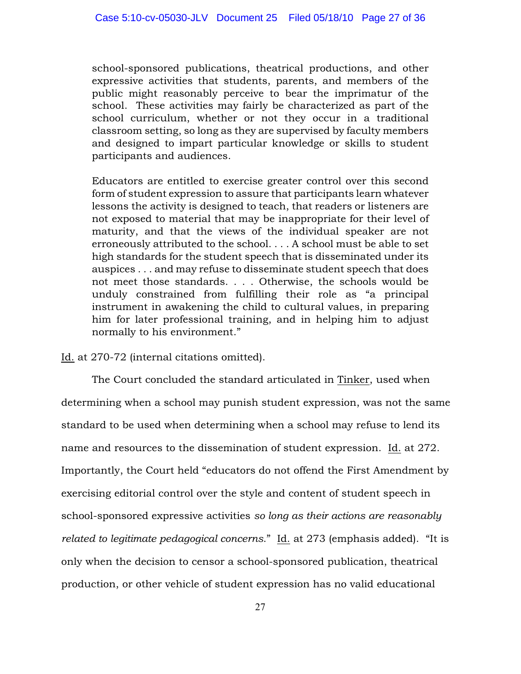school-sponsored publications, theatrical productions, and other expressive activities that students, parents, and members of the public might reasonably perceive to bear the imprimatur of the school. These activities may fairly be characterized as part of the school curriculum, whether or not they occur in a traditional classroom setting, so long as they are supervised by faculty members and designed to impart particular knowledge or skills to student participants and audiences.

Educators are entitled to exercise greater control over this second form of student expression to assure that participants learn whatever lessons the activity is designed to teach, that readers or listeners are not exposed to material that may be inappropriate for their level of maturity, and that the views of the individual speaker are not erroneously attributed to the school. . . . A school must be able to set high standards for the student speech that is disseminated under its auspices . . . and may refuse to disseminate student speech that does not meet those standards. . . . Otherwise, the schools would be unduly constrained from fulfilling their role as "a principal instrument in awakening the child to cultural values, in preparing him for later professional training, and in helping him to adjust normally to his environment."

Id. at 270-72 (internal citations omitted).

The Court concluded the standard articulated in Tinker, used when determining when a school may punish student expression, was not the same standard to be used when determining when a school may refuse to lend its name and resources to the dissemination of student expression. Id. at 272. Importantly, the Court held "educators do not offend the First Amendment by exercising editorial control over the style and content of student speech in school-sponsored expressive activities *so long as their actions are reasonably related to legitimate pedagogical concerns*." Id. at 273 (emphasis added). "It is only when the decision to censor a school-sponsored publication, theatrical production, or other vehicle of student expression has no valid educational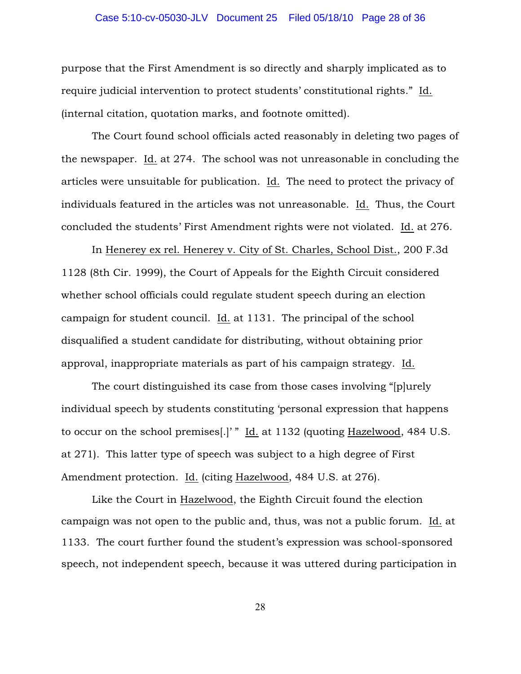# Case 5:10-cv-05030-JLV Document 25 Filed 05/18/10 Page 28 of 36

purpose that the First Amendment is so directly and sharply implicated as to require judicial intervention to protect students' constitutional rights." Id. (internal citation, quotation marks, and footnote omitted).

The Court found school officials acted reasonably in deleting two pages of the newspaper. Id. at 274. The school was not unreasonable in concluding the articles were unsuitable for publication. Id. The need to protect the privacy of individuals featured in the articles was not unreasonable. Id. Thus, the Court concluded the students' First Amendment rights were not violated. Id. at 276.

In Henerey ex rel. Henerey v. City of St. Charles, School Dist., 200 F.3d 1128 (8th Cir. 1999), the Court of Appeals for the Eighth Circuit considered whether school officials could regulate student speech during an election campaign for student council. Id. at 1131. The principal of the school disqualified a student candidate for distributing, without obtaining prior approval, inappropriate materials as part of his campaign strategy. Id.

The court distinguished its case from those cases involving "[p]urely individual speech by students constituting 'personal expression that happens to occur on the school premises[.]' " Id. at 1132 (quoting Hazelwood, 484 U.S. at 271). This latter type of speech was subject to a high degree of First Amendment protection. Id. (citing Hazelwood, 484 U.S. at 276).

Like the Court in Hazelwood, the Eighth Circuit found the election campaign was not open to the public and, thus, was not a public forum. Id. at 1133. The court further found the student's expression was school-sponsored speech, not independent speech, because it was uttered during participation in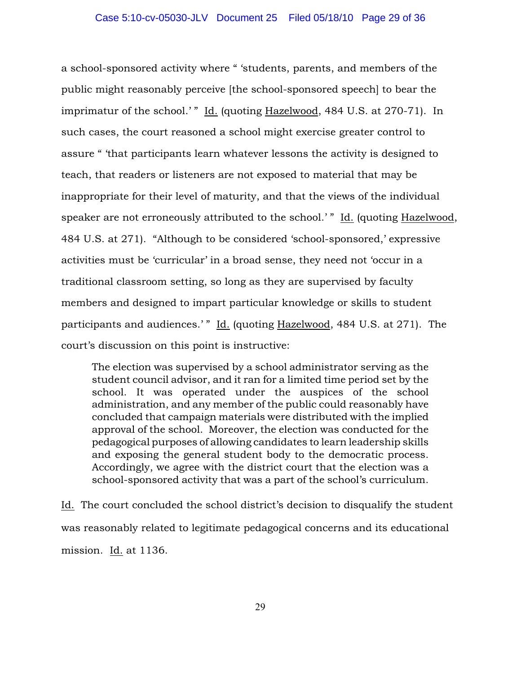a school-sponsored activity where " 'students, parents, and members of the public might reasonably perceive [the school-sponsored speech] to bear the imprimatur of the school.'" Id. (quoting Hazelwood, 484 U.S. at 270-71). In such cases, the court reasoned a school might exercise greater control to assure " 'that participants learn whatever lessons the activity is designed to teach, that readers or listeners are not exposed to material that may be inappropriate for their level of maturity, and that the views of the individual speaker are not erroneously attributed to the school.'" Id. (quoting Hazelwood, 484 U.S. at 271). "Although to be considered 'school-sponsored,' expressive activities must be 'curricular' in a broad sense, they need not 'occur in a traditional classroom setting, so long as they are supervised by faculty members and designed to impart particular knowledge or skills to student participants and audiences.'" Id. (quoting Hazelwood, 484 U.S. at 271). The court's discussion on this point is instructive:

The election was supervised by a school administrator serving as the student council advisor, and it ran for a limited time period set by the school. It was operated under the auspices of the school administration, and any member of the public could reasonably have concluded that campaign materials were distributed with the implied approval of the school. Moreover, the election was conducted for the pedagogical purposes of allowing candidates to learn leadership skills and exposing the general student body to the democratic process. Accordingly, we agree with the district court that the election was a school-sponsored activity that was a part of the school's curriculum.

Id. The court concluded the school district's decision to disqualify the student was reasonably related to legitimate pedagogical concerns and its educational mission. Id. at 1136.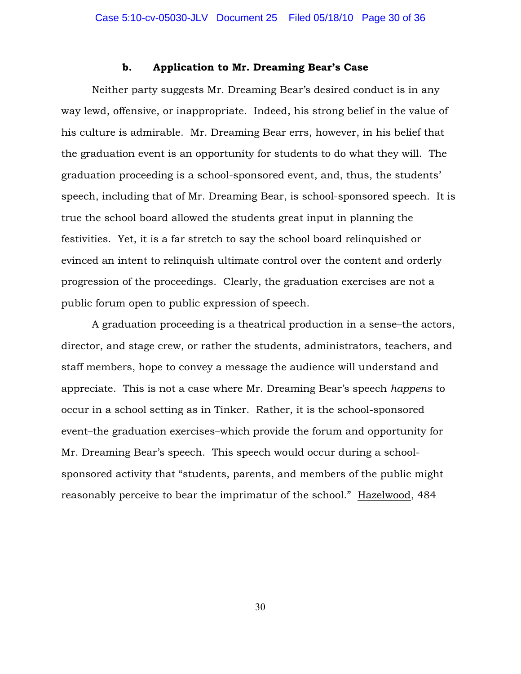## b. Application to Mr. Dreaming Bear's Case

Neither party suggests Mr. Dreaming Bear's desired conduct is in any way lewd, offensive, or inappropriate. Indeed, his strong belief in the value of his culture is admirable. Mr. Dreaming Bear errs, however, in his belief that the graduation event is an opportunity for students to do what they will. The graduation proceeding is a school-sponsored event, and, thus, the students' speech, including that of Mr. Dreaming Bear, is school-sponsored speech. It is true the school board allowed the students great input in planning the festivities. Yet, it is a far stretch to say the school board relinquished or evinced an intent to relinquish ultimate control over the content and orderly progression of the proceedings. Clearly, the graduation exercises are not a public forum open to public expression of speech.

A graduation proceeding is a theatrical production in a sense–the actors, director, and stage crew, or rather the students, administrators, teachers, and staff members, hope to convey a message the audience will understand and appreciate. This is not a case where Mr. Dreaming Bear's speech *happens* to occur in a school setting as in Tinker. Rather, it is the school-sponsored event–the graduation exercises–which provide the forum and opportunity for Mr. Dreaming Bear's speech. This speech would occur during a schoolsponsored activity that "students, parents, and members of the public might reasonably perceive to bear the imprimatur of the school." Hazelwood, 484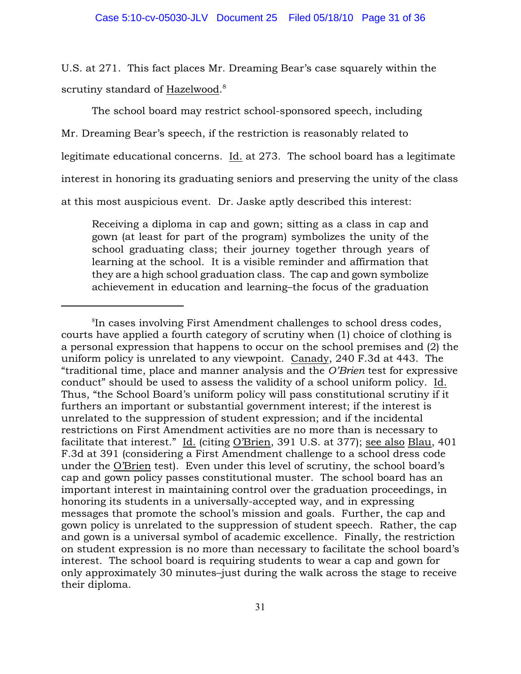U.S. at 271. This fact places Mr. Dreaming Bear's case squarely within the scrutiny standard of Hazelwood.<sup>8</sup>

The school board may restrict school-sponsored speech, including Mr. Dreaming Bear's speech, if the restriction is reasonably related to legitimate educational concerns. Id. at 273. The school board has a legitimate interest in honoring its graduating seniors and preserving the unity of the class at this most auspicious event. Dr. Jaske aptly described this interest:

Receiving a diploma in cap and gown; sitting as a class in cap and gown (at least for part of the program) symbolizes the unity of the school graduating class; their journey together through years of learning at the school. It is a visible reminder and affirmation that they are a high school graduation class. The cap and gown symbolize achievement in education and learning–the focus of the graduation

<sup>&</sup>lt;sup>8</sup>In cases involving First Amendment challenges to school dress codes, courts have applied a fourth category of scrutiny when (1) choice of clothing is a personal expression that happens to occur on the school premises and (2) the uniform policy is unrelated to any viewpoint. Canady, 240 F.3d at 443. The "traditional time, place and manner analysis and the *O'Brien* test for expressive conduct" should be used to assess the validity of a school uniform policy. Id. Thus, "the School Board's uniform policy will pass constitutional scrutiny if it furthers an important or substantial government interest; if the interest is unrelated to the suppression of student expression; and if the incidental restrictions on First Amendment activities are no more than is necessary to facilitate that interest." Id. (citing O'Brien, 391 U.S. at 377); see also Blau, 401 F.3d at 391 (considering a First Amendment challenge to a school dress code under the O'Brien test). Even under this level of scrutiny, the school board's cap and gown policy passes constitutional muster. The school board has an important interest in maintaining control over the graduation proceedings, in honoring its students in a universally-accepted way, and in expressing messages that promote the school's mission and goals. Further, the cap and gown policy is unrelated to the suppression of student speech. Rather, the cap and gown is a universal symbol of academic excellence. Finally, the restriction on student expression is no more than necessary to facilitate the school board's interest. The school board is requiring students to wear a cap and gown for only approximately 30 minutes–just during the walk across the stage to receive their diploma.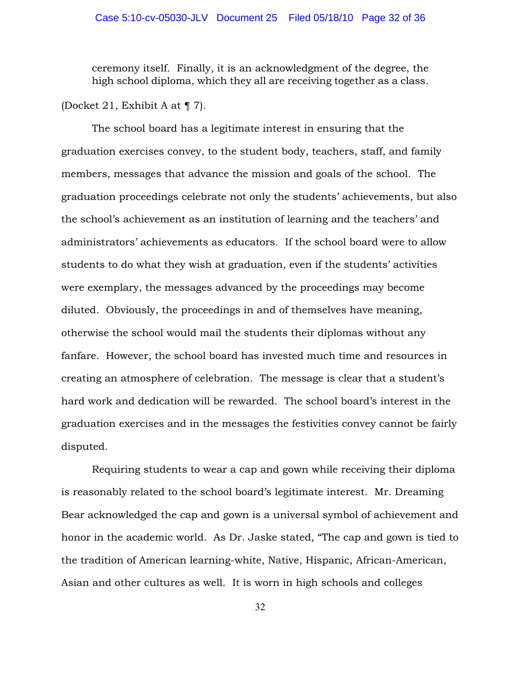# Case 5:10-cv-05030-JLV Document 25 Filed 05/18/10 Page 32 of 36

ceremony itself. Finally, it is an acknowledgment of the degree, the high school diploma, which they all are receiving together as a class.

## (Docket 21, Exhibit A at ¶ 7).

The school board has a legitimate interest in ensuring that the graduation exercises convey, to the student body, teachers, staff, and family members, messages that advance the mission and goals of the school. The graduation proceedings celebrate not only the students' achievements, but also the school's achievement as an institution of learning and the teachers' and administrators' achievements as educators. If the school board were to allow students to do what they wish at graduation, even if the students' activities were exemplary, the messages advanced by the proceedings may become diluted. Obviously, the proceedings in and of themselves have meaning, otherwise the school would mail the students their diplomas without any fanfare. However, the school board has invested much time and resources in creating an atmosphere of celebration. The message is clear that a student's hard work and dedication will be rewarded. The school board's interest in the graduation exercises and in the messages the festivities convey cannot be fairly disputed.

Requiring students to wear a cap and gown while receiving their diploma is reasonably related to the school board's legitimate interest. Mr. Dreaming Bear acknowledged the cap and gown is a universal symbol of achievement and honor in the academic world. As Dr. Jaske stated, "The cap and gown is tied to the tradition of American learning-white, Native, Hispanic, African-American, Asian and other cultures as well. It is worn in high schools and colleges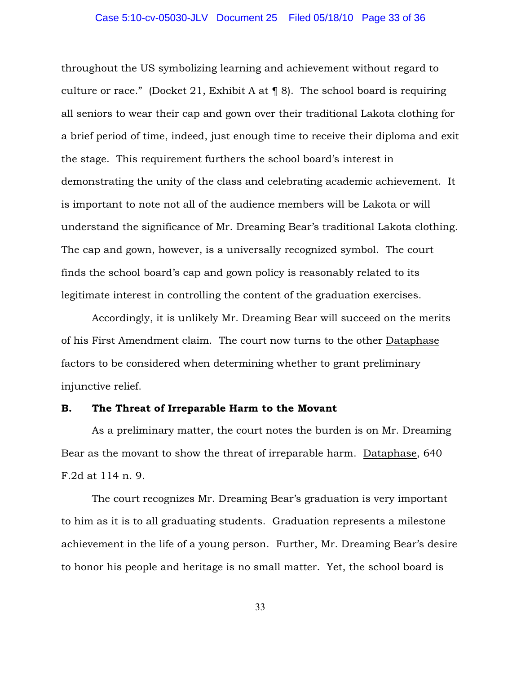# Case 5:10-cv-05030-JLV Document 25 Filed 05/18/10 Page 33 of 36

throughout the US symbolizing learning and achievement without regard to culture or race." (Docket 21, Exhibit A at  $\P$  8). The school board is requiring all seniors to wear their cap and gown over their traditional Lakota clothing for a brief period of time, indeed, just enough time to receive their diploma and exit the stage. This requirement furthers the school board's interest in demonstrating the unity of the class and celebrating academic achievement. It is important to note not all of the audience members will be Lakota or will understand the significance of Mr. Dreaming Bear's traditional Lakota clothing. The cap and gown, however, is a universally recognized symbol. The court finds the school board's cap and gown policy is reasonably related to its legitimate interest in controlling the content of the graduation exercises.

Accordingly, it is unlikely Mr. Dreaming Bear will succeed on the merits of his First Amendment claim. The court now turns to the other Dataphase factors to be considered when determining whether to grant preliminary injunctive relief.

# B. The Threat of Irreparable Harm to the Movant

As a preliminary matter, the court notes the burden is on Mr. Dreaming Bear as the movant to show the threat of irreparable harm. Dataphase, 640 F.2d at 114 n. 9.

The court recognizes Mr. Dreaming Bear's graduation is very important to him as it is to all graduating students. Graduation represents a milestone achievement in the life of a young person. Further, Mr. Dreaming Bear's desire to honor his people and heritage is no small matter. Yet, the school board is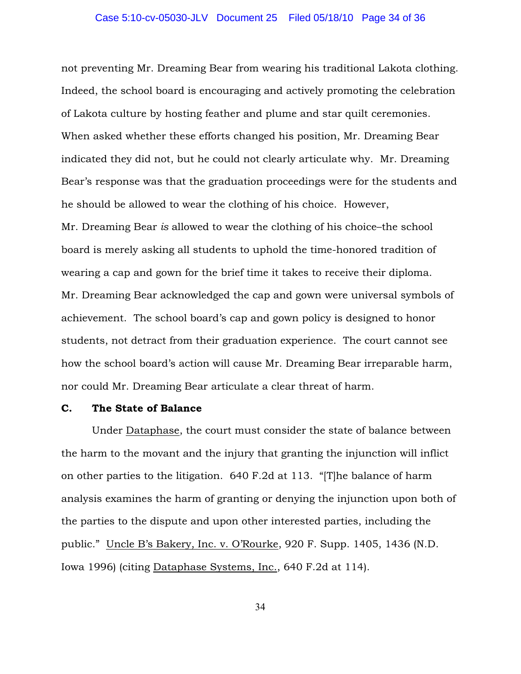not preventing Mr. Dreaming Bear from wearing his traditional Lakota clothing. Indeed, the school board is encouraging and actively promoting the celebration of Lakota culture by hosting feather and plume and star quilt ceremonies. When asked whether these efforts changed his position, Mr. Dreaming Bear indicated they did not, but he could not clearly articulate why. Mr. Dreaming Bear's response was that the graduation proceedings were for the students and he should be allowed to wear the clothing of his choice. However, Mr. Dreaming Bear *is* allowed to wear the clothing of his choice–the school board is merely asking all students to uphold the time-honored tradition of wearing a cap and gown for the brief time it takes to receive their diploma. Mr. Dreaming Bear acknowledged the cap and gown were universal symbols of achievement. The school board's cap and gown policy is designed to honor students, not detract from their graduation experience. The court cannot see how the school board's action will cause Mr. Dreaming Bear irreparable harm, nor could Mr. Dreaming Bear articulate a clear threat of harm.

# C. The State of Balance

Under Dataphase, the court must consider the state of balance between the harm to the movant and the injury that granting the injunction will inflict on other parties to the litigation. 640 F.2d at 113. "[T]he balance of harm analysis examines the harm of granting or denying the injunction upon both of the parties to the dispute and upon other interested parties, including the public." Uncle B's Bakery, Inc. v. O'Rourke, 920 F. Supp. 1405, 1436 (N.D. Iowa 1996) (citing Dataphase Systems, Inc., 640 F.2d at 114).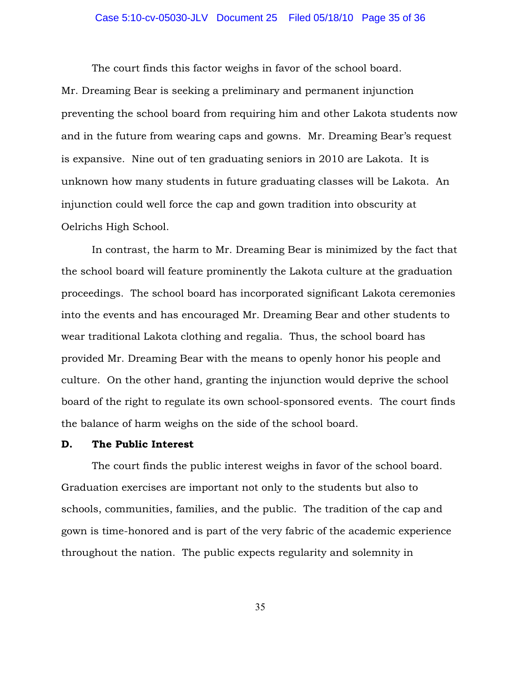# Case 5:10-cv-05030-JLV Document 25 Filed 05/18/10 Page 35 of 36

The court finds this factor weighs in favor of the school board. Mr. Dreaming Bear is seeking a preliminary and permanent injunction preventing the school board from requiring him and other Lakota students now and in the future from wearing caps and gowns. Mr. Dreaming Bear's request is expansive. Nine out of ten graduating seniors in 2010 are Lakota. It is unknown how many students in future graduating classes will be Lakota. An injunction could well force the cap and gown tradition into obscurity at Oelrichs High School.

In contrast, the harm to Mr. Dreaming Bear is minimized by the fact that the school board will feature prominently the Lakota culture at the graduation proceedings. The school board has incorporated significant Lakota ceremonies into the events and has encouraged Mr. Dreaming Bear and other students to wear traditional Lakota clothing and regalia. Thus, the school board has provided Mr. Dreaming Bear with the means to openly honor his people and culture. On the other hand, granting the injunction would deprive the school board of the right to regulate its own school-sponsored events. The court finds the balance of harm weighs on the side of the school board.

## D. The Public Interest

The court finds the public interest weighs in favor of the school board. Graduation exercises are important not only to the students but also to schools, communities, families, and the public. The tradition of the cap and gown is time-honored and is part of the very fabric of the academic experience throughout the nation. The public expects regularity and solemnity in